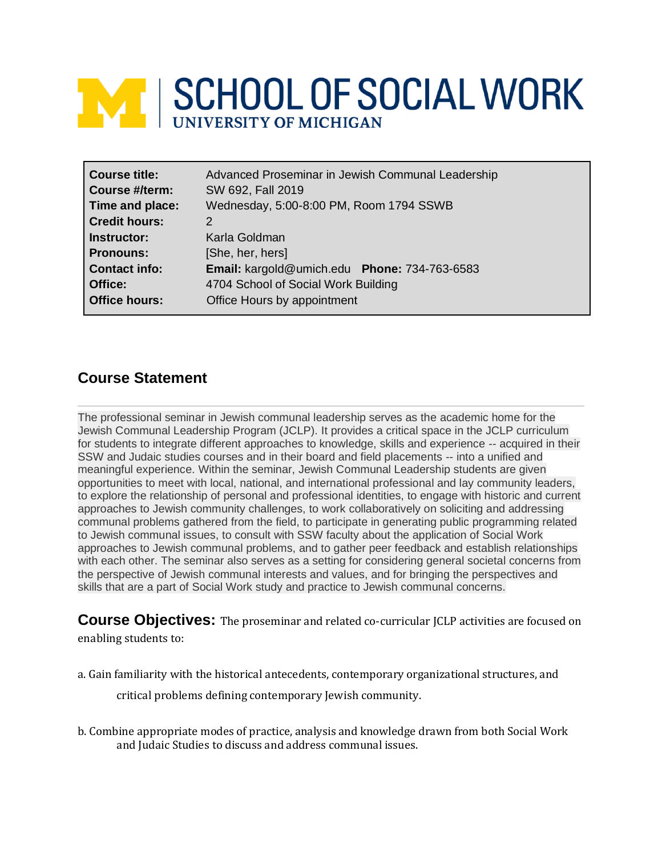# **NEW SCHOOL OF SOCIAL WORK**

| <b>Course title:</b><br>Course #/term: | Advanced Proseminar in Jewish Communal Leadership<br>SW 692, Fall 2019 |
|----------------------------------------|------------------------------------------------------------------------|
| Time and place:                        | Wednesday, 5:00-8:00 PM, Room 1794 SSWB                                |
| <b>Credit hours:</b>                   | 2                                                                      |
| Instructor:                            | Karla Goldman                                                          |
| <b>Pronouns:</b>                       | [She, her, hers]                                                       |
| <b>Contact info:</b>                   | Email: kargold@umich.edu Phone: 734-763-6583                           |
| Office:                                | 4704 School of Social Work Building                                    |
| <b>Office hours:</b>                   | Office Hours by appointment                                            |

# **Course Statement**

The professional seminar in Jewish communal leadership serves as the academic home for the Jewish Communal Leadership Program (JCLP). It provides a critical space in the JCLP curriculum for students to integrate different approaches to knowledge, skills and experience -- acquired in their SSW and Judaic studies courses and in their board and field placements -- into a unified and meaningful experience. Within the seminar, Jewish Communal Leadership students are given opportunities to meet with local, national, and international professional and lay community leaders, to explore the relationship of personal and professional identities, to engage with historic and current approaches to Jewish community challenges, to work collaboratively on soliciting and addressing communal problems gathered from the field, to participate in generating public programming related to Jewish communal issues, to consult with SSW faculty about the application of Social Work approaches to Jewish communal problems, and to gather peer feedback and establish relationships with each other. The seminar also serves as a setting for considering general societal concerns from the perspective of Jewish communal interests and values, and for bringing the perspectives and skills that are a part of Social Work study and practice to Jewish communal concerns.

**Course Objectives:** The proseminar and related co-curricular JCLP activities are focused on enabling students to:

a. Gain familiarity with the historical antecedents, contemporary organizational structures, and

critical problems defining contemporary Jewish community.

b. Combine appropriate modes of practice, analysis and knowledge drawn from both Social Work and Judaic Studies to discuss and address communal issues.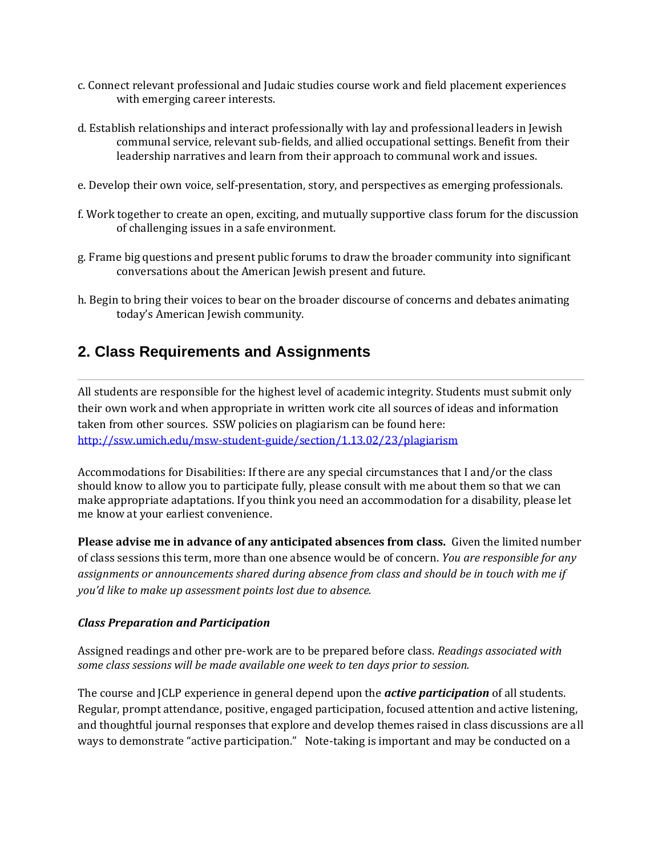- c. Connect relevant professional and Judaic studies course work and field placement experiences with emerging career interests.
- d. Establish relationships and interact professionally with lay and professional leaders in Jewish communal service, relevant sub-fields, and allied occupational settings. Benefit from their leadership narratives and learn from their approach to communal work and issues.
- e. Develop their own voice, self-presentation, story, and perspectives as emerging professionals.
- f. Work together to create an open, exciting, and mutually supportive class forum for the discussion of challenging issues in a safe environment.
- g. Frame big questions and present public forums to draw the broader community into significant conversations about the American Jewish present and future.
- h. Begin to bring their voices to bear on the broader discourse of concerns and debates animating today's American Jewish community.

# **2. Class Requirements and Assignments**

All students are responsible for the highest level of academic integrity. Students must submit only their own work and when appropriate in written work cite all sources of ideas and information taken from other sources. SSW policies on plagiarism can be found here: <http://ssw.umich.edu/msw-student-guide/section/1.13.02/23/plagiarism>

Accommodations for Disabilities: If there are any special circumstances that I and/or the class should know to allow you to participate fully, please consult with me about them so that we can make appropriate adaptations. If you think you need an accommodation for a disability, please let me know at your earliest convenience.

**Please advise me in advance of any anticipated absences from class.** Given the limited number of class sessions this term, more than one absence would be of concern. *You are responsible for any assignments or announcements shared during absence from class and should be in touch with me if you'd like to make up assessment points lost due to absence.*

#### *Class Preparation and Participation*

Assigned readings and other pre-work are to be prepared before class. *Readings associated with some class sessions will be made available one week to ten days prior to session.*

The course and JCLP experience in general depend upon the *active participation* of all students. Regular, prompt attendance, positive, engaged participation, focused attention and active listening, and thoughtful journal responses that explore and develop themes raised in class discussions are all ways to demonstrate "active participation." Note-taking is important and may be conducted on a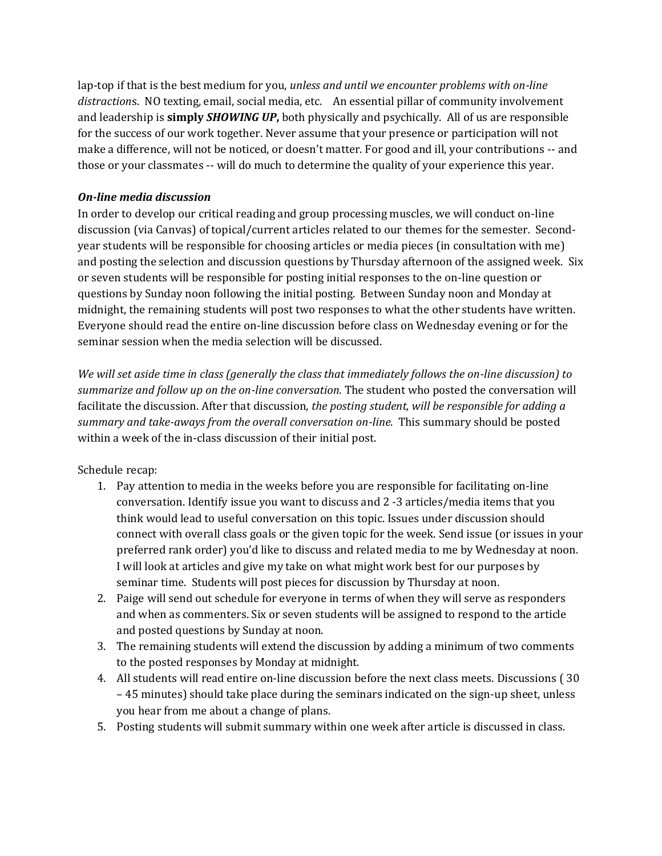lap-top if that is the best medium for you, *unless and until we encounter problems with on-line distraction*s. NO texting, email, social media, etc. An essential pillar of community involvement and leadership is **simply** *SHOWING UP***,** both physically and psychically. All of us are responsible for the success of our work together. Never assume that your presence or participation will not make a difference, will not be noticed, or doesn't matter. For good and ill, your contributions -- and those or your classmates -- will do much to determine the quality of your experience this year.

## *On-line media discussion*

In order to develop our critical reading and group processing muscles, we will conduct on-line discussion (via Canvas) of topical/current articles related to our themes for the semester*.* Secondyear students will be responsible for choosing articles or media pieces (in consultation with me) and posting the selection and discussion questions by Thursday afternoon of the assigned week. Six or seven students will be responsible for posting initial responses to the on-line question or questions by Sunday noon following the initial posting. Between Sunday noon and Monday at midnight, the remaining students will post two responses to what the other students have written. Everyone should read the entire on-line discussion before class on Wednesday evening or for the seminar session when the media selection will be discussed.

*We will set aside time in class (generally the class that immediately follows the on-line discussion) to summarize and follow up on the on-line conversation.* The student who posted the conversation will facilitate the discussion. After that discussion, *the posting student, will be responsible for adding a summary and take-aways from the overall conversation on-line*. This summary should be posted within a week of the in-class discussion of their initial post.

Schedule recap:

- 1. Pay attention to media in the weeks before you are responsible for facilitating on-line conversation. Identify issue you want to discuss and 2 -3 articles/media items that you think would lead to useful conversation on this topic. Issues under discussion should connect with overall class goals or the given topic for the week. Send issue (or issues in your preferred rank order) you'd like to discuss and related media to me by Wednesday at noon. I will look at articles and give my take on what might work best for our purposes by seminar time. Students will post pieces for discussion by Thursday at noon.
- 2. Paige will send out schedule for everyone in terms of when they will serve as responders and when as commenters. Six or seven students will be assigned to respond to the article and posted questions by Sunday at noon.
- 3. The remaining students will extend the discussion by adding a minimum of two comments to the posted responses by Monday at midnight.
- 4. All students will read entire on-line discussion before the next class meets. Discussions ( 30 – 45 minutes) should take place during the seminars indicated on the sign-up sheet, unless you hear from me about a change of plans.
- 5. Posting students will submit summary within one week after article is discussed in class.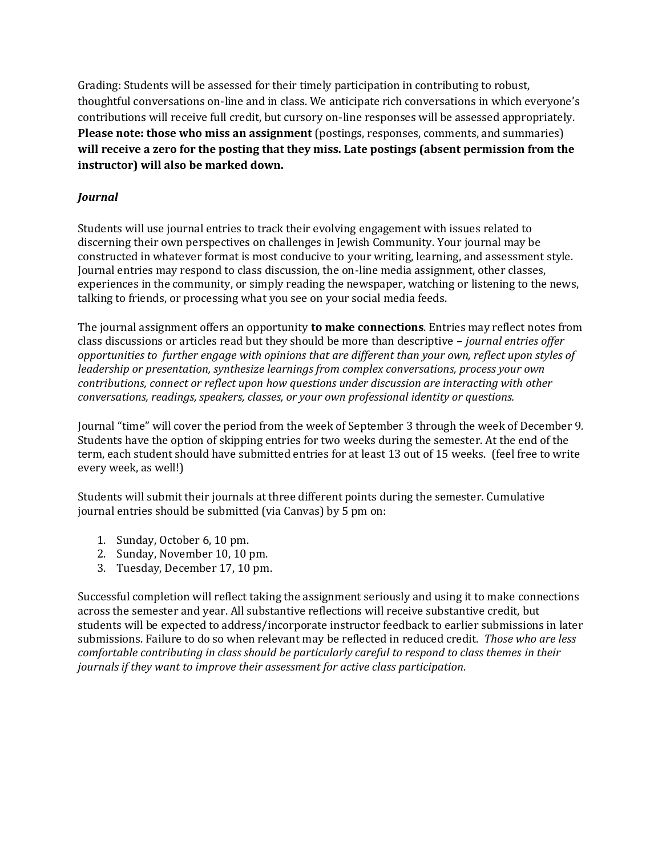Grading: Students will be assessed for their timely participation in contributing to robust, thoughtful conversations on-line and in class. We anticipate rich conversations in which everyone's contributions will receive full credit, but cursory on-line responses will be assessed appropriately. **Please note: those who miss an assignment** (postings, responses, comments, and summaries) **will receive a zero for the posting that they miss. Late postings (absent permission from the instructor) will also be marked down.** 

## *Journal*

Students will use journal entries to track their evolving engagement with issues related to discerning their own perspectives on challenges in Jewish Community. Your journal may be constructed in whatever format is most conducive to your writing, learning, and assessment style. Journal entries may respond to class discussion, the on-line media assignment, other classes, experiences in the community, or simply reading the newspaper, watching or listening to the news, talking to friends, or processing what you see on your social media feeds.

The journal assignment offers an opportunity **to make connections**. Entries may reflect notes from class discussions or articles read but they should be more than descriptive – *journal entries offer opportunities to further engage with opinions that are different than your own, reflect upon styles of leadership or presentation, synthesize learnings from complex conversations, process your own contributions, connect or reflect upon how questions under discussion are interacting with other conversations, readings, speakers, classes, or your own professional identity or questions.* 

Journal "time" will cover the period from the week of September 3 through the week of December 9*.* Students have the option of skipping entries for two weeks during the semester. At the end of the term, each student should have submitted entries for at least 13 out of 15 weeks. (feel free to write every week, as well!)

Students will submit their journals at three different points during the semester. Cumulative journal entries should be submitted (via Canvas) by 5 pm on:

- 1. Sunday, October 6, 10 pm.
- 2. Sunday, November 10, 10 pm.
- 3. Tuesday, December 17, 10 pm.

Successful completion will reflect taking the assignment seriously and using it to make connections across the semester and year. All substantive reflections will receive substantive credit, but students will be expected to address/incorporate instructor feedback to earlier submissions in later submissions. Failure to do so when relevant may be reflected in reduced credit. *Those who are less comfortable contributing in class should be particularly careful to respond to class themes in their journals if they want to improve their assessment for active class participation.*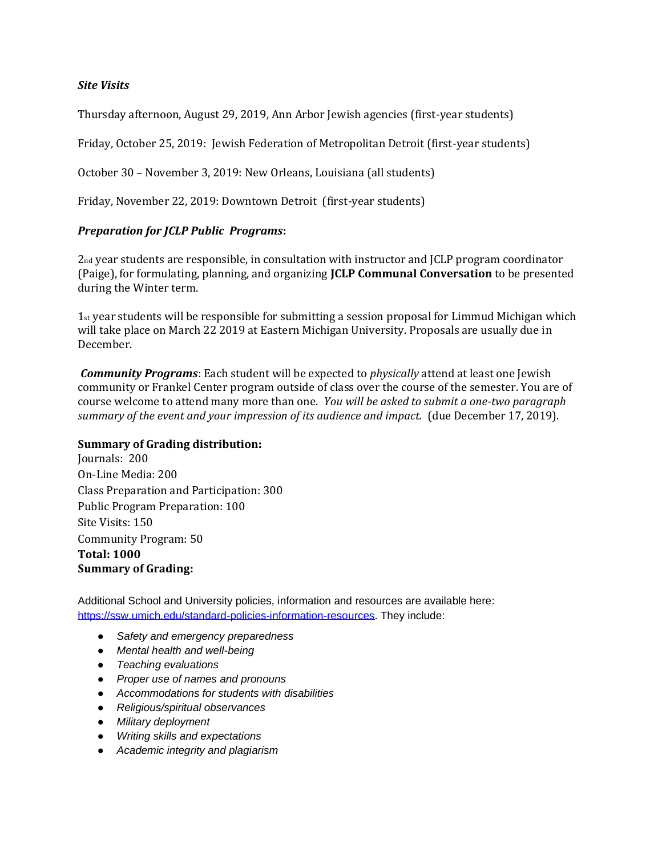### *Site Visits*

Thursday afternoon, August 29, 2019, Ann Arbor Jewish agencies (first-year students)

Friday, October 25, 2019: Jewish Federation of Metropolitan Detroit (first-year students)

October 30 – November 3, 2019: New Orleans, Louisiana (all students)

Friday, November 22, 2019: Downtown Detroit (first-year students)

#### *Preparation for JCLP Public Programs***:**

2nd year students are responsible, in consultation with instructor and JCLP program coordinator (Paige), for formulating, planning, and organizing **JCLP Communal Conversation** to be presented during the Winter term.

1st year students will be responsible for submitting a session proposal for Limmud Michigan which will take place on March 22 2019 at Eastern Michigan University. Proposals are usually due in December.

*Community Programs*: Each student will be expected to *physically* attend at least one Jewish community or Frankel Center program outside of class over the course of the semester. You are of course welcome to attend many more than one. *You will be asked to submit a one-two paragraph summary of the event and your impression of its audience and impact.* (due December 17, 2019).

#### **Summary of Grading distribution:**

Journals: 200 On-Line Media: 200 Class Preparation and Participation: 300 Public Program Preparation: 100 Site Visits: 150 Community Program: 50 **Total: 1000 Summary of Grading:**

Additional School and University policies, information and resources are available here: [https://ssw.umich.edu/standard-policies-information-resources.](https://ssw.umich.edu/standard-policies-information-resources) They include:

- *Safety and emergency preparedness*
- *Mental health and well-being*
- *Teaching evaluations*
- *Proper use of names and pronouns*
- *Accommodations for students with disabilities*
- *Religious/spiritual observances*
- *Military deployment*
- *Writing skills and expectations*
- *Academic integrity and plagiarism*